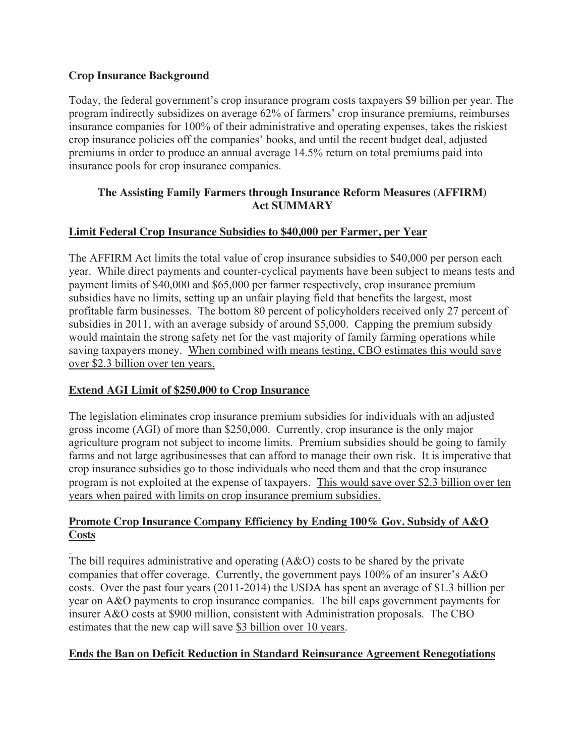### **Crop Insurance Background**

Today, the federal government's crop insurance program costs taxpayers \$9 billion per year. The program indirectly subsidizes on average 62% of farmers' crop insurance premiums, reimburses insurance companies for 100% of their administrative and operating expenses, takes the riskiest crop insurance policies off the companies' books, and until the recent budget deal, adjusted premiums in order to produce an annual average 14.5% return on total premiums paid into insurance pools for crop insurance companies.

## **The Assisting Family Farmers through Insurance Reform Measures (AFFIRM) Act SUMMARY**

### **Limit Federal Crop Insurance Subsidies to \$40,000 per Farmer, per Year**

The AFFIRM Act limits the total value of crop insurance subsidies to \$40,000 per person each year. While direct payments and counter-cyclical payments have been subject to means tests and payment limits of \$40,000 and \$65,000 per farmer respectively, crop insurance premium subsidies have no limits, setting up an unfair playing field that benefits the largest, most profitable farm businesses. The bottom 80 percent of policyholders received only 27 percent of subsidies in 2011, with an average subsidy of around \$5,000. Capping the premium subsidy would maintain the strong safety net for the vast majority of family farming operations while saving taxpayers money. When combined with means testing, CBO estimates this would save over \$2.3 billion over ten years.

### **Extend AGI Limit of \$250,000 to Crop Insurance**

The legislation eliminates crop insurance premium subsidies for individuals with an adjusted gross income (AGI) of more than \$250,000. Currently, crop insurance is the only major agriculture program not subject to income limits. Premium subsidies should be going to family farms and not large agribusinesses that can afford to manage their own risk. It is imperative that crop insurance subsidies go to those individuals who need them and that the crop insurance program is not exploited at the expense of taxpayers. This would save over \$2.3 billion over ten years when paired with limits on crop insurance premium subsidies.

### **Promote Crop Insurance Company Efficiency by Ending 100% Gov. Subsidy of A&O Costs**

The bill requires administrative and operating  $(A&O)$  costs to be shared by the private companies that offer coverage. Currently, the government pays 100% of an insurer's A&O costs. Over the past four years (2011-2014) the USDA has spent an average of \$1.3 billion per year on A&O payments to crop insurance companies. The bill caps government payments for insurer A&O costs at \$900 million, consistent with Administration proposals. The CBO estimates that the new cap will save \$3 billion over 10 years.

### **Ends the Ban on Deficit Reduction in Standard Reinsurance Agreement Renegotiations**